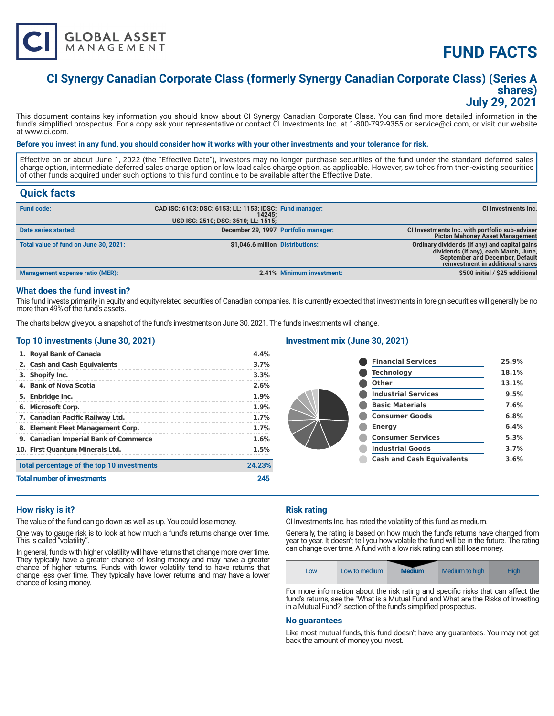

# **FUND FACTS**

### **CI Synergy Canadian Corporate Class (formerly Synergy Canadian Corporate Class) (Series A shares) July 29, 2021**

This document contains key information you should know about CI Synergy Canadian Corporate Class. You can find more detailed information in the fund's simplified prospectus. For a copy ask your representative or contact CI Investments Inc. at 1-800-792-9355 or service@ci.com, or visit our website at www.ci.com.

#### **Before you invest in any fund, you should consider how it works with your other investments and your tolerance for risk.**

Effective on or about June 1, 2022 (the "Effective Date"), investors may no longer purchase securities of the fund under the standard deferred sales charge option, intermediate deferred sales charge option or low load sales charge option, as applicable. However, switches from then-existing securities of other funds acquired under such options to this fund continue to be available after the Effective Date.

### **Quick facts**

| <b>Fund code:</b>                      | CAD ISC: 6103; DSC: 6153; LL: 1153; IDSC: Fund manager:<br>14245:<br>USD ISC: 2510; DSC: 3510; LL: 1515; |                           | <b>CI Investments Inc.</b>                                                                                                                                     |
|----------------------------------------|----------------------------------------------------------------------------------------------------------|---------------------------|----------------------------------------------------------------------------------------------------------------------------------------------------------------|
| Date series started:                   | December 29, 1997 Portfolio manager:                                                                     |                           | CI Investments Inc. with portfolio sub-adviser<br><b>Picton Mahoney Asset Management</b>                                                                       |
| Total value of fund on June 30, 2021:  | \$1,046.6 million Distributions:                                                                         |                           | Ordinary dividends (if any) and capital gains<br>dividends (if any), each March, June,<br>September and December, Default<br>reinvestment in additional shares |
| <b>Management expense ratio (MER):</b> |                                                                                                          | 2.41% Minimum investment: | \$500 initial / \$25 additional                                                                                                                                |

#### **What does the fund invest in?**

This fund invests primarily in equity and equity-related securities of Canadian companies. It is currently expected that investments in foreign securities will generally be no more than 49% of the fund's assets.

The charts below give you a snapshot of the fund's investments on June 30, 2021. The fund's investments will change.

#### **Top 10 investments (June 30, 2021)**

#### **Investment mix (June 30, 2021)**

| <b>Total number of investments</b>         | 245          |
|--------------------------------------------|--------------|
| Total percentage of the top 10 investments | 24.23%       |
| 10. First Ouantum Minerals Ltd.            | $1.5\%$      |
| 9. Canadian Imperial Bank of Commerce      | 1.6%         |
| 8. Element Fleet Management Corp.          | 1.7%         |
| 7. Canadian Pacific Railway Ltd.           | $1.7\%$      |
| 6. Microsoft Corp.                         | 1.9%         |
| 5. Enbridge Inc.                           | 1.9%         |
| 4. Bank of Nova Scotia                     | 3.3%<br>2.6% |
| 3. Shopify Inc.                            |              |
| 2. Cash and Cash Equivalents               | 3.7%         |
| 1. Royal Bank of Canada                    | 4.4%         |

| 25.9% |
|-------|
| 18.1% |
| 13.1% |
| 9.5%  |
| 7.6%  |
| 6.8%  |
| 6.4%  |
| 5.3%  |
| 3.7%  |
| 3.6%  |
|       |

#### **How risky is it?**

The value of the fund can go down as well as up. You could lose money.

One way to gauge risk is to look at how much a fund's returns change over time. This is called "volatility".

In general, funds with higher volatility will have returns that change more over time. They typically have a greater chance of losing money and may have a greater chance of higher returns. Funds with lower volatility tend to have returns that change less over time. They typically have lower returns and may have a lower chance of losing money.

#### **Risk rating**

CI Investments Inc. has rated the volatility of this fund as medium.

Generally, the rating is based on how much the fund's returns have changed from year to year. It doesn't tell you how volatile the fund will be in the future. The rating can change over time. A fund with a low risk rating can still lose money.

| Low | Low to medium | <b>Medium</b> | Medium to high | Hiah |
|-----|---------------|---------------|----------------|------|
| . . | .<br>$\sim$   | $\sim$        |                | . .  |

For more information about the risk rating and specific risks that can affect the fund's returns, see the "What is a Mutual Fund and What are the Risks of Investing in a Mutual Fund?" section of the fund's simplified prospectus.

#### **No guarantees**

Like most mutual funds, this fund doesn't have any guarantees. You may not get back the amount of money you invest.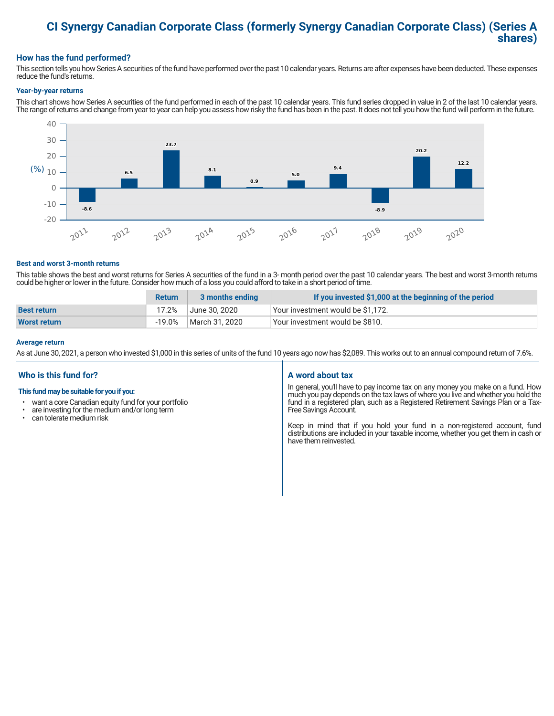## **CI Synergy Canadian Corporate Class (formerly Synergy Canadian Corporate Class) (Series A shares)**

#### **How has the fund performed?**

This section tells you how Series A securities of the fund have performed over the past 10 calendar years. Returns are after expenses have been deducted. These expenses reduce the fund's returns.

#### **Year-by-year returns**

This chart shows how Series A securities of the fund performed in each of the past 10 calendar years. This fund series dropped in value in 2 of the last 10 calendar years. The range of returns and change from year to year can help you assess how risky the fund has been in the past. It does not tell you how the fund will perform in the future.



#### **Best and worst 3-month returns**

This table shows the best and worst returns for Series A securities of the fund in a 3- month period over the past 10 calendar years. The best and worst 3-month returns could be higher or lower in the future. Consider how much of a loss you could afford to take in a short period of time.

|                     | <b>Return</b> | 3 months ending | If you invested \$1,000 at the beginning of the period |
|---------------------|---------------|-----------------|--------------------------------------------------------|
| <b>Best return</b>  | 17.2%         | June 30. 2020   | Your investment would be \$1,172.                      |
| <b>Worst return</b> | $-19.0\%$     | March 31, 2020  | Vour investment would be \$810.                        |

#### **Average return**

As at June 30, 2021, a person who invested \$1,000 in this series of units of the fund 10 years ago now has \$2,089. This works out to an annual compound return of 7.6%.

### **Who is this fund for?**

#### **This fund may be suitable for you if you:**

- want a core Canadian equity fund for your portfolio
- $\cdot$  are investing for the medium and/or long term  $\cdot$  can telerate medium risk
- can tolerate medium risk

#### **A word about tax**

In general, you'll have to pay income tax on any money you make on a fund. How much you pay depends on the tax laws of where you live and whether you hold the fund in a registered plan, such as a Registered Retirement Savings Plan or a Tax-Free Savings Account.

Keep in mind that if you hold your fund in a non-registered account, fund distributions are included in your taxable income, whether you get them in cash or have them reinvested.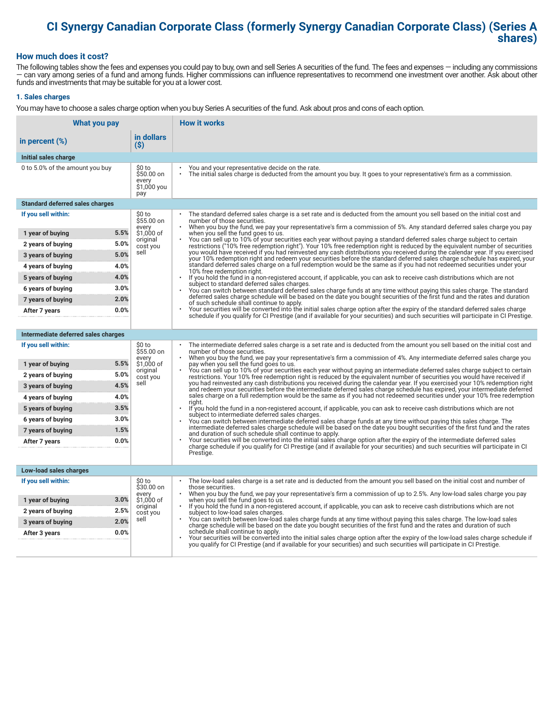# **CI Synergy Canadian Corporate Class (formerly Synergy Canadian Corporate Class) (Series A shares)**

#### **How much does it cost?**

The following tables show the fees and expenses you could pay to buy, own and sell Series A securities of the fund. The fees and expenses — including any commissions — can vary among series of a fund and among funds. Higher commissions can influence representatives to recommend one investment over another. Ask about other funds and investments that may be suitable for you at a lower cost.

#### **1. Sales charges**

You may have to choose a sales charge option when you buy Series A securities of the fund. Ask about pros and cons of each option.

| What you pay                           |                                                     | <b>How it works</b>                                                                                                                                                                                                                                                                                                             |
|----------------------------------------|-----------------------------------------------------|---------------------------------------------------------------------------------------------------------------------------------------------------------------------------------------------------------------------------------------------------------------------------------------------------------------------------------|
| in percent (%)                         | in dollars<br>$(\$)$                                |                                                                                                                                                                                                                                                                                                                                 |
| Initial sales charge                   |                                                     |                                                                                                                                                                                                                                                                                                                                 |
| 0 to 5.0% of the amount you buy        | \$0 to<br>\$50.00 on<br>every<br>\$1,000 you<br>pay | You and your representative decide on the rate.<br>$\bullet$<br>The initial sales charge is deducted from the amount you buy. It goes to your representative's firm as a commission.                                                                                                                                            |
| <b>Standard deferred sales charges</b> |                                                     |                                                                                                                                                                                                                                                                                                                                 |
| If you sell within:                    | \$0 to<br>\$55.00 on                                | The standard deferred sales charge is a set rate and is deducted from the amount you sell based on the initial cost and<br>number of those securities.                                                                                                                                                                          |
| 1 year of buying                       | every<br>5.5%<br>\$1,000 of                         | When you buy the fund, we pay your representative's firm a commission of 5%. Any standard deferred sales charge you pay<br>when you sell the fund goes to us.                                                                                                                                                                   |
| 2 years of buying                      | original<br>5.0%<br>cost you                        | You can sell up to 10% of your securities each year without paying a standard deferred sales charge subject to certain<br>restrictions ("10% free redemption right"). Your 10% free redemption right is reduced by the equivalent number of securities                                                                          |
| 3 years of buying                      | sell<br>5.0%                                        | you would have received if you had reinvested any cash distributions you received during the calendar year. If you exercised<br>your 10% redemption right and redeem your securities before the standard deferred sales charge schedule has expired, your                                                                       |
| 4 years of buying                      | 4.0%                                                | standard deferred sales charge on a full redemption would be the same as if you had not redeemed securities under your<br>10% free redemption right.                                                                                                                                                                            |
| 5 years of buying                      | 4.0%                                                | $\bullet$<br>If you hold the fund in a non-registered account, if applicable, you can ask to receive cash distributions which are not<br>subject to standard deferred sales charges.                                                                                                                                            |
| 6 years of buying                      | 3.0%                                                | You can switch between standard deferred sales charge funds at any time without paying this sales charge. The standard                                                                                                                                                                                                          |
| 7 years of buying                      | 2.0%                                                | deferred sales charge schedule will be based on the date you bought securities of the first fund and the rates and duration<br>of such schedule shall continue to apply.                                                                                                                                                        |
| After 7 years                          | 0.0%                                                | Your securities will be converted into the initial sales charge option after the expiry of the standard deferred sales charge<br>schedule if you qualify for CI Prestige (and if available for your securities) and such securities will participate in CI Prestige.                                                            |
|                                        |                                                     |                                                                                                                                                                                                                                                                                                                                 |
| Intermediate deferred sales charges    |                                                     |                                                                                                                                                                                                                                                                                                                                 |
| If you sell within:                    | \$0 to<br>\$55.00 on<br>every                       | The intermediate deferred sales charge is a set rate and is deducted from the amount you sell based on the initial cost and<br>number of those securities.<br>When you buy the fund, we pay your representative's firm a commission of 4%. Any intermediate deferred sales charge you<br>pay when you sell the fund goes to us. |
| 1 year of buying                       | 5.5%<br>\$1,000 of<br>original                      |                                                                                                                                                                                                                                                                                                                                 |
| 2 years of buying                      | 5.0%<br>cost you                                    | You can sell up to 10% of your securities each year without paying an intermediate deferred sales charge subject to certain<br>restrictions. Your 10% free redemption right is reduced by the equivalent number of securities you would have received if                                                                        |
| 3 years of buying                      | sell<br>4.5%                                        | you had reinvested any cash distributions you received during the calendar year. If you exercised your 10% redemption right<br>and redeem your securities before the intermediate deferred sales charge schedule has expired, your intermediate deferred                                                                        |
| 4 years of buying                      | 4.0%                                                | sales charge on a full redemption would be the same as if you had not redeemed securities under your 10% free redemption<br>riaht.                                                                                                                                                                                              |
| 5 years of buying                      | 3.5%                                                | If you hold the fund in a non-registered account, if applicable, you can ask to receive cash distributions which are not<br>subject to intermediate deferred sales charges.                                                                                                                                                     |
| 6 years of buying                      | 3.0%                                                | You can switch between intermediate deferred sales charge funds at any time without paying this sales charge. The<br>intermediate deferred sales charge schedule will be based on the date you bought securities of the first fund and the rates                                                                                |
| 7 years of buying                      | 1.5%                                                | and duration of such schedule shall continue to apply.<br>Your securities will be converted into the initial sales charge option after the expiry of the intermediate deferred sales                                                                                                                                            |
| After 7 years                          | 0.0%                                                | charge schedule if you qualify for CI Prestige (and if available for your securities) and such securities will participate in CI                                                                                                                                                                                                |
|                                        |                                                     | Prestige.                                                                                                                                                                                                                                                                                                                       |
| Low-load sales charges                 |                                                     |                                                                                                                                                                                                                                                                                                                                 |
| If you sell within:                    | \$0 to<br>\$30.00 on                                | The low-load sales charge is a set rate and is deducted from the amount you sell based on the initial cost and number of<br>those securities.                                                                                                                                                                                   |
| 1 year of buying                       | every<br>3.0%<br>\$1,000 of                         | When you buy the fund, we pay your representative's firm a commission of up to 2.5%. Any low-load sales charge you pay<br>when you sell the fund goes to us.                                                                                                                                                                    |
| 2 years of buying                      | original<br>2.5%<br>cost you                        | If you hold the fund in a non-registered account, if applicable, you can ask to receive cash distributions which are not<br>$\bullet$<br>subject to low-load sales charges.                                                                                                                                                     |
| 3 years of buying                      | sell<br>2.0%                                        | You can switch between low-load sales charge funds at any time without paying this sales charge. The low-load sales<br>charge schedule will be based on the date you bought securities of the first fund and the rates and duration of such                                                                                     |
| After 3 years                          | 0.0%                                                | schedule shall continue to apply.<br>Your securities will be converted into the initial sales charge option after the expiry of the low-load sales charge schedule if                                                                                                                                                           |
|                                        |                                                     | you qualify for CI Prestige (and if available for your securities) and such securities will participate in CI Prestige.                                                                                                                                                                                                         |